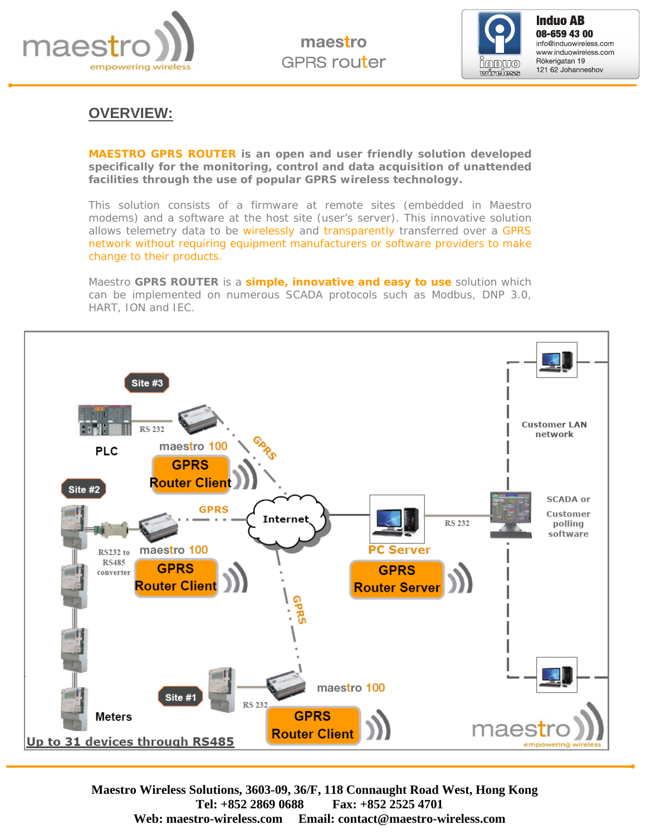



**Induo AB**<br>08-659 43 00 info@induowireless.com www.induowireless.com Rökerigatan 19 121 62 Johanneshov

### **OVERVIEW:**

**MAESTRO GPRS ROUTER is an open and user friendly solution developed specifically for the monitoring, control and data acquisition of unattended facilities through the use of popular GPRS wireless technology.** 

This solution consists of a firmware at remote sites (embedded in Maestro modems) and a software at the host site (user's server). This innovative solution allows telemetry data to be wirelessly and transparently transferred over a GPRS network without requiring equipment manufacturers or software providers to make change to their products.

Maestro **GPRS ROUTER** is a **simple, innovative and easy to use** solution which can be implemented on numerous SCADA protocols such as Modbus, DNP 3.0, HART, ION and IEC.

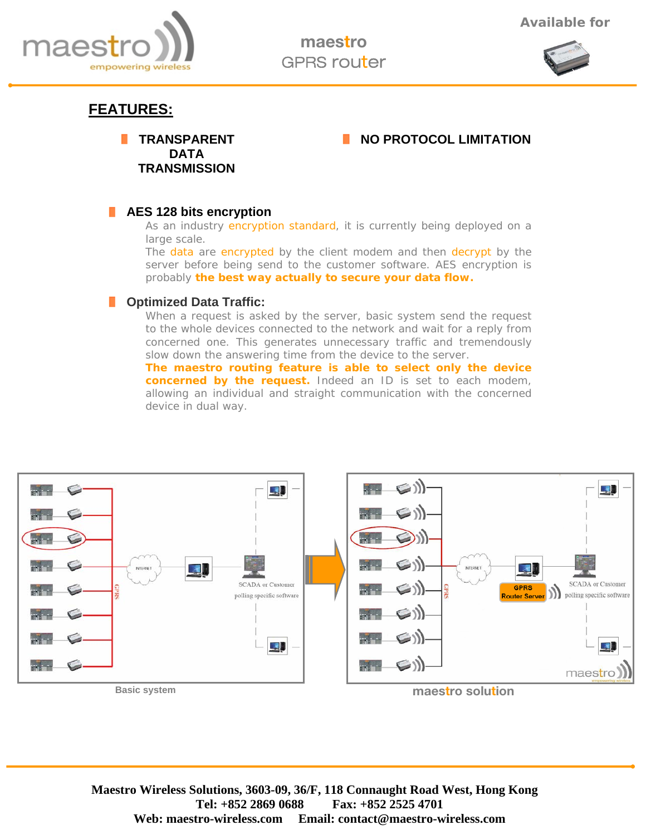

maestro GPRS router



# **FEATURES:**

**TRANSPARENT DATA TRANSMISSION** 

### **NO PROTOCOL LIMITATION**

#### **AES 128 bits encryption**

As an industry encryption standard, it is currently being deployed on a large scale.

The data are encrypted by the client modem and then decrypt by the server before being send to the customer software. AES encryption is probably **the best way actually to secure your data flow.** 

#### **F** Optimized Data Traffic:

When a request is asked by the server, basic system send the request to the whole devices connected to the network and wait for a reply from concerned one. This generates unnecessary traffic and tremendously slow down the answering time from the device to the server.

**The maestro routing feature is able to select only the device concerned by the request.** Indeed an ID is set to each modem, allowing an individual and straight communication with the concerned device in dual way.